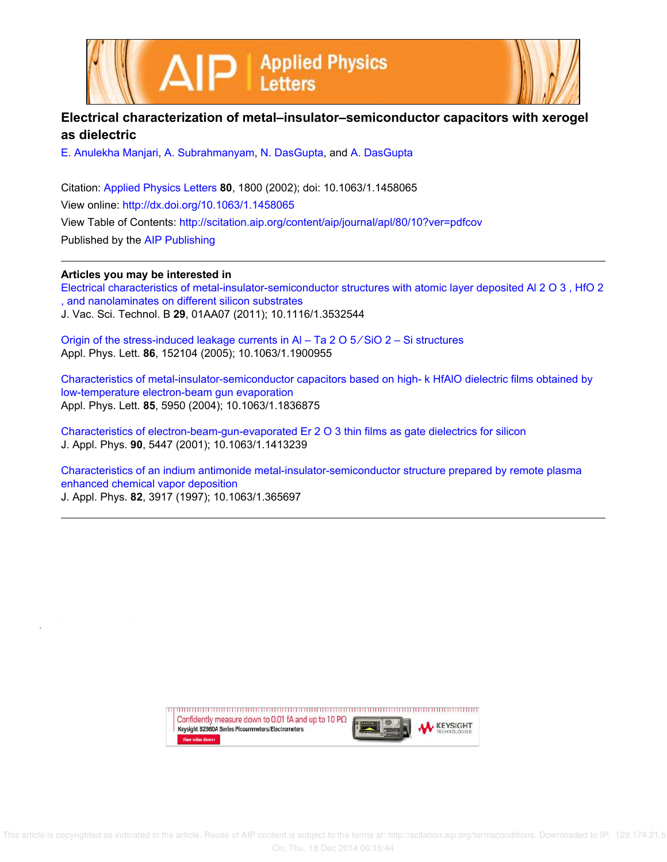

| Electrical characterization of metal–insulator–semiconductor capacitors with xerogel |
|--------------------------------------------------------------------------------------|
| as dielectric                                                                        |

E. Anulekha Manjari, A. Subrahmanyam, N. DasGupta, and A. DasGupta

Citation: Applied Physics Letters **80**, 1800 (2002); doi: 10.1063/1.1458065 View online: http://dx.doi.org/10.1063/1.1458065 View Table of Contents: http://scitation.aip.org/content/aip/journal/apl/80/10?ver=pdfcov Published by the AIP Publishing

## **Articles you may be interested in**

Electrical characteristics of metal-insulator-semiconductor structures with atomic layer deposited Al 2 O 3 , HfO 2 , and nanolaminates on different silicon substrates J. Vac. Sci. Technol. B **29**, 01AA07 (2011); 10.1116/1.3532544

Origin of the stress-induced leakage currents in Al – Ta 2 O 5 ∕ SiO 2 – Si structures Appl. Phys. Lett. **86**, 152104 (2005); 10.1063/1.1900955

Characteristics of metal-insulator-semiconductor capacitors based on high- k HfAlO dielectric films obtained by low-temperature electron-beam gun evaporation Appl. Phys. Lett. **85**, 5950 (2004); 10.1063/1.1836875

Characteristics of electron-beam-gun-evaporated Er 2 O 3 thin films as gate dielectrics for silicon J. Appl. Phys. **90**, 5447 (2001); 10.1063/1.1413239

Characteristics of an indium antimonide metal-insulator-semiconductor structure prepared by remote plasma enhanced chemical vapor deposition J. Appl. Phys. **82**, 3917 (1997); 10.1063/1.365697

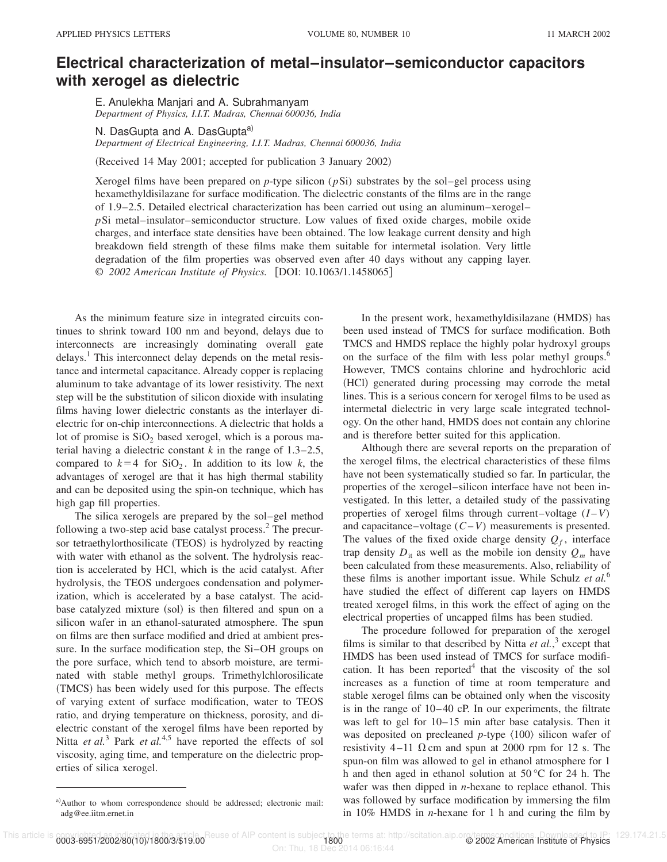## **Electrical characterization of metal–insulator–semiconductor capacitors with xerogel as dielectric**

E. Anulekha Manjari and A. Subrahmanyam *Department of Physics, I.I.T. Madras, Chennai 600036, India*

N. DasGupta and A. DasGupta<sup>a)</sup> *Department of Electrical Engineering, I.I.T. Madras, Chennai 600036, India*

(Received 14 May 2001; accepted for publication 3 January 2002)

Xerogel films have been prepared on *p*-type silicon (*p*Si) substrates by the sol–gel process using hexamethyldisilazane for surface modification. The dielectric constants of the films are in the range of 1.9–2.5. Detailed electrical characterization has been carried out using an aluminum–xerogel– *p*Si metal–insulator–semiconductor structure. Low values of fixed oxide charges, mobile oxide charges, and interface state densities have been obtained. The low leakage current density and high breakdown field strength of these films make them suitable for intermetal isolation. Very little degradation of the film properties was observed even after 40 days without any capping layer. © *2002 American Institute of Physics.* [DOI: 10.1063/1.1458065]

As the minimum feature size in integrated circuits continues to shrink toward 100 nm and beyond, delays due to interconnects are increasingly dominating overall gate delays.<sup>1</sup> This interconnect delay depends on the metal resistance and intermetal capacitance. Already copper is replacing aluminum to take advantage of its lower resistivity. The next step will be the substitution of silicon dioxide with insulating films having lower dielectric constants as the interlayer dielectric for on-chip interconnections. A dielectric that holds a lot of promise is  $SiO<sub>2</sub>$  based xerogel, which is a porous material having a dielectric constant *k* in the range of 1.3–2.5, compared to  $k=4$  for  $SiO<sub>2</sub>$ . In addition to its low *k*, the advantages of xerogel are that it has high thermal stability and can be deposited using the spin-on technique, which has high gap fill properties.

The silica xerogels are prepared by the sol–gel method following a two-step acid base catalyst process.<sup>2</sup> The precursor tetraethylorthosilicate (TEOS) is hydrolyzed by reacting with water with ethanol as the solvent. The hydrolysis reaction is accelerated by HCl, which is the acid catalyst. After hydrolysis, the TEOS undergoes condensation and polymerization, which is accelerated by a base catalyst. The acidbase catalyzed mixture (sol) is then filtered and spun on a silicon wafer in an ethanol-saturated atmosphere. The spun on films are then surface modified and dried at ambient pressure. In the surface modification step, the Si–OH groups on the pore surface, which tend to absorb moisture, are terminated with stable methyl groups. Trimethylchlorosilicate (TMCS) has been widely used for this purpose. The effects of varying extent of surface modification, water to TEOS ratio, and drying temperature on thickness, porosity, and dielectric constant of the xerogel films have been reported by Nitta *et al.*<sup>3</sup> Park *et al.*<sup>4,5</sup> have reported the effects of sol viscosity, aging time, and temperature on the dielectric properties of silica xerogel.

In the present work, hexamethyldisilazane (HMDS) has been used instead of TMCS for surface modification. Both TMCS and HMDS replace the highly polar hydroxyl groups on the surface of the film with less polar methyl groups.<sup>6</sup> However, TMCS contains chlorine and hydrochloric acid (HCl) generated during processing may corrode the metal lines. This is a serious concern for xerogel films to be used as intermetal dielectric in very large scale integrated technology. On the other hand, HMDS does not contain any chlorine and is therefore better suited for this application.

Although there are several reports on the preparation of the xerogel films, the electrical characteristics of these films have not been systematically studied so far. In particular, the properties of the xerogel–silicon interface have not been investigated. In this letter, a detailed study of the passivating properties of xerogel films through current–voltage  $(I - V)$ and capacitance–voltage (*C*–*V*) measurements is presented. The values of the fixed oxide charge density  $Q_f$ , interface trap density  $D_{it}$  as well as the mobile ion density  $Q_m$  have been calculated from these measurements. Also, reliability of these films is another important issue. While Schulz *et al.*<sup>6</sup> have studied the effect of different cap layers on HMDS treated xerogel films, in this work the effect of aging on the electrical properties of uncapped films has been studied.

The procedure followed for preparation of the xerogel films is similar to that described by Nitta  $et al.<sup>3</sup>$  except that HMDS has been used instead of TMCS for surface modification. It has been reported $4$  that the viscosity of the sol increases as a function of time at room temperature and stable xerogel films can be obtained only when the viscosity is in the range of 10–40 cP. In our experiments, the filtrate was left to gel for 10–15 min after base catalysis. Then it was deposited on precleaned *p*-type  $\langle 100 \rangle$  silicon wafer of resistivity 4–11  $\Omega$  cm and spun at 2000 rpm for 12 s. The spun-on film was allowed to gel in ethanol atmosphere for 1 h and then aged in ethanol solution at 50 °C for 24 h. The wafer was then dipped in *n*-hexane to replace ethanol. This was followed by surface modification by immersing the film in 10% HMDS in *n*-hexane for 1 h and curing the film by

a)Author to whom correspondence should be addressed; electronic mail: adg@ee.iitm.ernet.in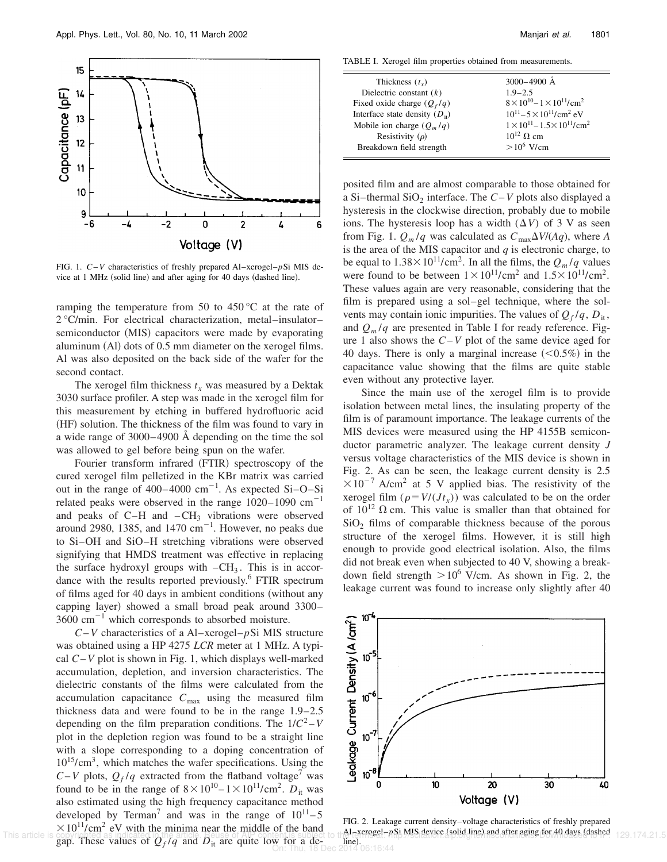

FIG. 1. *C*–*V* characteristics of freshly prepared Al–xerogel–*p*Si MIS device at 1 MHz (solid line) and after aging for 40 days (dashed line).

ramping the temperature from 50 to 450 °C at the rate of 2 °C/min. For electrical characterization, metal–insulator– semiconductor (MIS) capacitors were made by evaporating aluminum  $(A)$  dots of 0.5 mm diameter on the xerogel films. Al was also deposited on the back side of the wafer for the second contact.

The xerogel film thickness  $t_x$  was measured by a Dektak 3030 surface profiler. A step was made in the xerogel film for this measurement by etching in buffered hydrofluoric acid (HF) solution. The thickness of the film was found to vary in a wide range of 3000–4900 Å depending on the time the sol was allowed to gel before being spun on the wafer.

Fourier transform infrared (FTIR) spectroscopy of the cured xerogel film pelletized in the KBr matrix was carried out in the range of  $400-4000$  cm<sup>-1</sup>. As expected Si-O-Si related peaks were observed in the range  $1020-1090$  cm<sup>-1</sup> and peaks of  $C-H$  and  $-CH_3$  vibrations were observed around 2980, 1385, and 1470  $cm^{-1}$ . However, no peaks due to Si–OH and SiO–H stretching vibrations were observed signifying that HMDS treatment was effective in replacing the surface hydroxyl groups with  $-CH_3$ . This is in accordance with the results reported previously.<sup>6</sup> FTIR spectrum of films aged for 40 days in ambient conditions (without any capping layer) showed a small broad peak around 3300–  $3600 \text{ cm}^{-1}$  which corresponds to absorbed moisture.

*C*–*V* characteristics of a Al–xerogel–*p*Si MIS structure was obtained using a HP 4275 *LCR* meter at 1 MHz. A typical *C*–*V* plot is shown in Fig. 1, which displays well-marked accumulation, depletion, and inversion characteristics. The dielectric constants of the films were calculated from the accumulation capacitance  $C_{\text{max}}$  using the measured film thickness data and were found to be in the range 1.9–2.5 depending on the film preparation conditions. The  $1/C^2 - V$ plot in the depletion region was found to be a straight line with a slope corresponding to a doping concentration of 1015/cm<sup>3</sup> , which matches the wafer specifications. Using the  $C-V$  plots,  $Q_f/q$  extracted from the flatband voltage<sup>7</sup> was found to be in the range of  $8 \times 10^{10} - 1 \times 10^{11}$ /cm<sup>2</sup>.  $D_{it}$  was also estimated using the high frequency capacitance method developed by Terman<sup>7</sup> and was in the range of  $10^{11} - 5$  $\times 10^{11}/\text{cm}^2$  eV with the minima near the middle of the band gap. These values of  $Q_f/q$  and  $D_{it}$  are quite low for a de-<br>Indeed 2014 06:16:44 This article is copyrighted as indicated in the article. He use of AIP content is subject to the letter search post and statistics (solid line) and after aging for 40 days (dashed 129.174.21.5

TABLE I. Xerogel film properties obtained from measurements.

| Thickness $(tr)$                   | 3000-4900 Å                                              |
|------------------------------------|----------------------------------------------------------|
| Dielectric constant $(k)$          | $1.9 - 2.5$                                              |
| Fixed oxide charge $(Q_f/q)$       | $8 \times 10^{10} - 1 \times 10^{11}$ /cm <sup>2</sup>   |
| Interface state density $(D_{ii})$ | $10^{11} - 5 \times 10^{11}$ /cm <sup>2</sup> eV         |
| Mobile ion charge $(Q_m/q)$        | $1 \times 10^{11} - 1.5 \times 10^{11}$ /cm <sup>2</sup> |
| Resistivity $(\rho)$               | $10^{12}$ Q cm                                           |
| Breakdown field strength           | $>10^6$ V/cm                                             |
|                                    |                                                          |

posited film and are almost comparable to those obtained for a Si-thermal SiO<sub>2</sub> interface. The *C*-*V* plots also displayed a hysteresis in the clockwise direction, probably due to mobile ions. The hysteresis loop has a width  $(\Delta V)$  of 3 V as seen from Fig. 1.  $Q_m/q$  was calculated as  $C_{\text{max}}\Delta V/(Aq)$ , where *A* is the area of the MIS capacitor and *q* is electronic charge, to be equal to  $1.38 \times 10^{11} / \text{cm}^2$ . In all the films, the  $Q_m/q$  values were found to be between  $1 \times 10^{11}$ /cm<sup>2</sup> and  $1.5 \times 10^{11}$ /cm<sup>2</sup>. These values again are very reasonable, considering that the film is prepared using a sol–gel technique, where the solvents may contain ionic impurities. The values of  $Q_f/q$ ,  $D_i$ , and  $Q_m/q$  are presented in Table I for ready reference. Figure 1 also shows the *C*–*V* plot of the same device aged for 40 days. There is only a marginal increase  $(< 0.5\%)$  in the capacitance value showing that the films are quite stable even without any protective layer.

Since the main use of the xerogel film is to provide isolation between metal lines, the insulating property of the film is of paramount importance. The leakage currents of the MIS devices were measured using the HP 4155B semiconductor parametric analyzer. The leakage current density *J* versus voltage characteristics of the MIS device is shown in Fig. 2. As can be seen, the leakage current density is 2.5  $\times 10^{-7}$  A/cm<sup>2</sup> at 5 V applied bias. The resistivity of the xerogel film  $(\rho = V/(Jt_x))$  was calculated to be on the order of  $10^{12}$   $\Omega$  cm. This value is smaller than that obtained for  $SiO<sub>2</sub>$  films of comparable thickness because of the porous structure of the xerogel films. However, it is still high enough to provide good electrical isolation. Also, the films did not break even when subjected to 40 V, showing a breakdown field strength  $>10^6$  V/cm. As shown in Fig. 2, the leakage current was found to increase only slightly after 40



FIG. 2. Leakage current density–voltage characteristics of freshly prepared line).